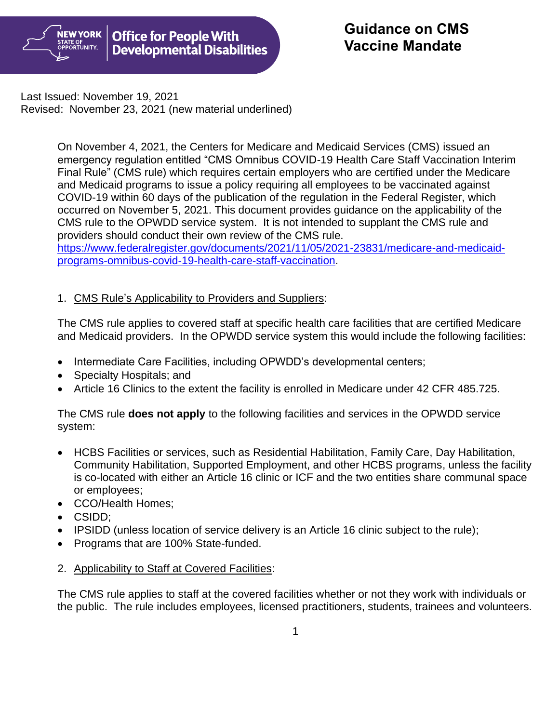

Last Issued: November 19, 2021 Revised: November 23, 2021 (new material underlined)

> On November 4, 2021, the Centers for Medicare and Medicaid Services (CMS) issued an emergency regulation entitled "CMS Omnibus COVID-19 Health Care Staff Vaccination Interim Final Rule" (CMS rule) which requires certain employers who are certified under the Medicare and Medicaid programs to issue a policy requiring all employees to be vaccinated against COVID-19 within 60 days of the publication of the regulation in the Federal Register, which occurred on November 5, 2021. This document provides guidance on the applicability of the CMS rule to the OPWDD service system. It is not intended to supplant the CMS rule and providers should conduct their own review of the CMS rule. [https://www.federalregister.gov/documents/2021/11/05/2021-23831/medicare-and-medicaid-](https://www.federalregister.gov/documents/2021/11/05/2021-23831/medicare-and-medicaid-programs-omnibus-covid-19-health-care-staff-vaccination)

[programs-omnibus-covid-19-health-care-staff-vaccination.](https://www.federalregister.gov/documents/2021/11/05/2021-23831/medicare-and-medicaid-programs-omnibus-covid-19-health-care-staff-vaccination)

# 1. CMS Rule's Applicability to Providers and Suppliers:

The CMS rule applies to covered staff at specific health care facilities that are certified Medicare and Medicaid providers. In the OPWDD service system this would include the following facilities:

- Intermediate Care Facilities, including OPWDD's developmental centers;
- Specialty Hospitals; and
- Article 16 Clinics to the extent the facility is enrolled in Medicare under 42 CFR 485.725.

The CMS rule **does not apply** to the following facilities and services in the OPWDD service system:

- HCBS Facilities or services, such as Residential Habilitation, Family Care, Day Habilitation, Community Habilitation, Supported Employment, and other HCBS programs, unless the facility is co-located with either an Article 16 clinic or ICF and the two entities share communal space or employees;
- CCO/Health Homes;
- CSIDD;
- IPSIDD (unless location of service delivery is an Article 16 clinic subject to the rule);
- Programs that are 100% State-funded.
- 2. Applicability to Staff at Covered Facilities:

The CMS rule applies to staff at the covered facilities whether or not they work with individuals or the public. The rule includes employees, licensed practitioners, students, trainees and volunteers.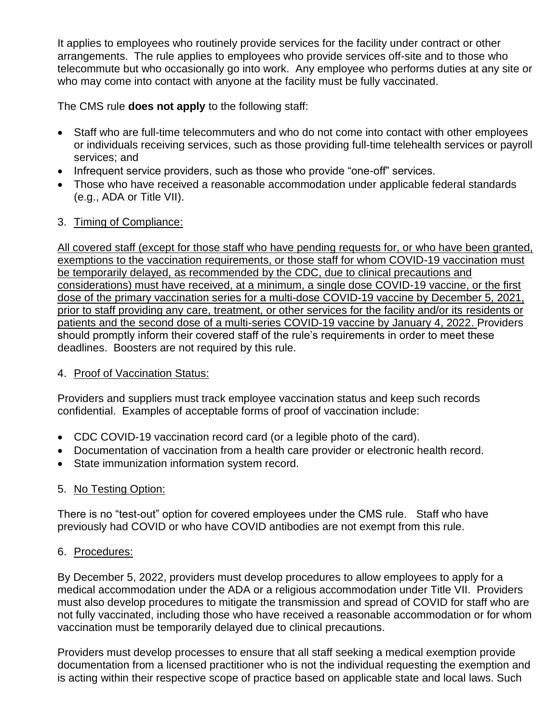It applies to employees who routinely provide services for the facility under contract or other arrangements. The rule applies to employees who provide services off-site and to those who telecommute but who occasionally go into work. Any employee who performs duties at any site or who may come into contact with anyone at the facility must be fully vaccinated.

The CMS rule **does not apply** to the following staff:

- Staff who are full-time telecommuters and who do not come into contact with other employees or individuals receiving services, such as those providing full-time telehealth services or payroll services; and
- Infrequent service providers, such as those who provide "one-off" services.
- Those who have received a reasonable accommodation under applicable federal standards (e.g., ADA or Title VII).

## 3. Timing of Compliance:

All covered staff (except for those staff who have pending requests for, or who have been granted, exemptions to the vaccination requirements, or those staff for whom COVID-19 vaccination must be temporarily delayed, as recommended by the CDC, due to clinical precautions and considerations) must have received, at a minimum, a single dose COVID-19 vaccine, or the first dose of the primary vaccination series for a multi-dose COVID-19 vaccine by December 5, 2021, prior to staff providing any care, treatment, or other services for the facility and/or its residents or patients and the second dose of a multi-series COVID-19 vaccine by January 4, 2022. Providers should promptly inform their covered staff of the rule's requirements in order to meet these deadlines. Boosters are not required by this rule.

## 4. Proof of Vaccination Status:

Providers and suppliers must track employee vaccination status and keep such records confidential. Examples of acceptable forms of proof of vaccination include:

- CDC COVID-19 vaccination record card (or a legible photo of the card).
- Documentation of vaccination from a health care provider or electronic health record.
- State immunization information system record.

# 5. No Testing Option:

There is no "test-out" option for covered employees under the CMS rule. Staff who have previously had COVID or who have COVID antibodies are not exempt from this rule.

## 6. Procedures:

By December 5, 2022, providers must develop procedures to allow employees to apply for a medical accommodation under the ADA or a religious accommodation under Title VII. Providers must also develop procedures to mitigate the transmission and spread of COVID for staff who are not fully vaccinated, including those who have received a reasonable accommodation or for whom vaccination must be temporarily delayed due to clinical precautions.

Providers must develop processes to ensure that all staff seeking a medical exemption provide documentation from a licensed practitioner who is not the individual requesting the exemption and is acting within their respective scope of practice based on applicable state and local laws. Such